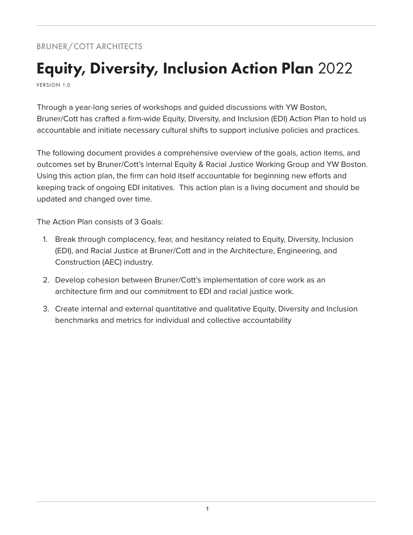# BRUNER/COTT ARCHITECTS

# Equity, Diversity, Inclusion Action Plan 2022

VERSION 1.0

Through a year-long series of workshops and guided discussions with YW Boston, Bruner/Cott has crafted a firm-wide Equity, Diversity, and Inclusion (EDI) Action Plan to hold us accountable and initiate necessary cultural shifts to support inclusive policies and practices.

The following document provides a comprehensive overview of the goals, action items, and outcomes set by Bruner/Cott's internal Equity & Racial Justice Working Group and YW Boston. Using this action plan, the firm can hold itself accountable for beginning new efforts and keeping track of ongoing EDI initatives. This action plan is a living document and should be updated and changed over time.

The Action Plan consists of 3 Goals:

- 1. Break through complacency, fear, and hesitancy related to Equity, Diversity, Inclusion (EDI), and Racial Justice at Bruner/Cott and in the Architecture, Engineering, and Construction (AEC) industry.
- 2. Develop cohesion between Bruner/Cott's implementation of core work as an architecture firm and our commitment to EDI and racial justice work.
- 3. Create internal and external quantitative and qualitative Equity, Diversity and Inclusion benchmarks and metrics for individual and collective accountability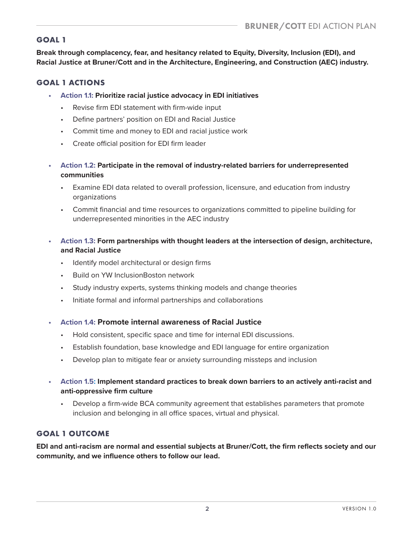### **GOAL 1**

**Break through complacency, fear, and hesitancy related to Equity, Diversity, Inclusion (EDI), and Racial Justice at Bruner/Cott and in the Architecture, Engineering, and Construction (AEC) industry.**

#### **GOAL 1 ACTIONS**

- **• Action 1.1: Prioritize racial justice advocacy in EDI initiatives**
	- Revise firm EDI statement with firm-wide input
	- Define partners' position on EDI and Racial Justice
	- Commit time and money to EDI and racial justice work
	- Create official position for EDI firm leader
- **• Action 1.2: Participate in the removal of industry-related barriers for underrepresented communities**
	- Examine EDI data related to overall profession, licensure, and education from industry organizations
	- Commit financial and time resources to organizations committed to pipeline building for underrepresented minorities in the AEC industry
- **• Action 1.3: Form partnerships with thought leaders at the intersection of design, architecture, and Racial Justice**
	- Identify model architectural or design firms
	- Build on YW InclusionBoston network
	- Study industry experts, systems thinking models and change theories
	- Initiate formal and informal partnerships and collaborations
- **• Action 1.4: Promote internal awareness of Racial Justice**
	- Hold consistent, specific space and time for internal EDI discussions.
	- Establish foundation, base knowledge and EDI language for entire organization
	- Develop plan to mitigate fear or anxiety surrounding missteps and inclusion
- **• Action 1.5: Implement standard practices to break down barriers to an actively anti-racist and anti-oppressive firm culture**
	- Develop a firm-wide BCA community agreement that establishes parameters that promote inclusion and belonging in all office spaces, virtual and physical.

## **GOAL 1 OUTCOME**

**EDI and anti-racism are normal and essential subjects at Bruner/Cott, the firm reflects society and our community, and we influence others to follow our lead.**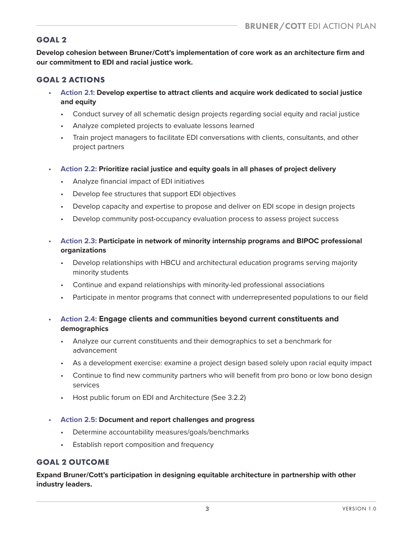#### **GOAL 2**

**Develop cohesion between Bruner/Cott's implementation of core work as an architecture firm and our commitment to EDI and racial justice work.** 

### **GOAL 2 ACTIONS**

- **• Action 2.1: Develop expertise to attract clients and acquire work dedicated to social justice and equity**
	- Conduct survey of all schematic design projects regarding social equity and racial justice
	- Analyze completed projects to evaluate lessons learned
	- Train project managers to facilitate EDI conversations with clients, consultants, and other project partners
- **• Action 2.2: Prioritize racial justice and equity goals in all phases of project delivery** 
	- Analyze financial impact of EDI initiatives
	- Develop fee structures that support EDI objectives
	- Develop capacity and expertise to propose and deliver on EDI scope in design projects
	- Develop community post-occupancy evaluation process to assess project success
- **• Action 2.3: Participate in network of minority internship programs and BIPOC professional organizations**
	- Develop relationships with HBCU and architectural education programs serving majority minority students
	- Continue and expand relationships with minority-led professional associations
	- Participate in mentor programs that connect with underrepresented populations to our field
- **• Action 2.4: Engage clients and communities beyond current constituents and demographics**
	- Analyze our current constituents and their demographics to set a benchmark for advancement
	- As a development exercise: examine a project design based solely upon racial equity impact
	- Continue to find new community partners who will benefit from pro bono or low bono design services
	- Host public forum on EDI and Architecture (See 3.2.2)
- **• Action 2.5: Document and report challenges and progress**
	- Determine accountability measures/goals/benchmarks
	- Establish report composition and frequency

#### **GOAL 2 OUTCOME**

**Expand Bruner/Cott's participation in designing equitable architecture in partnership with other industry leaders.**